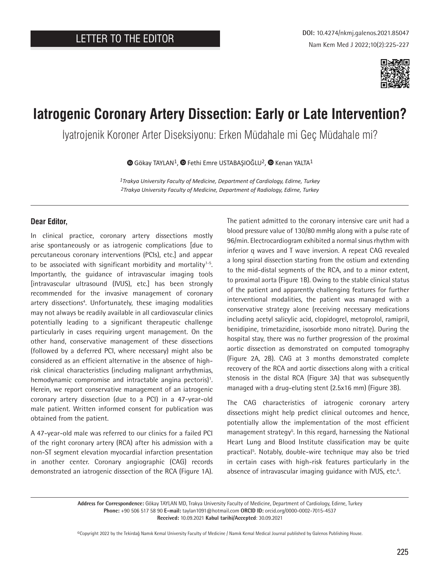

# **Iatrogenic Coronary Artery Dissection: Early or Late Intervention?**

İyatrojenik Koroner Arter Diseksiyonu: Erken Müdahale mi Geç Müdahale mi?

 $\bullet$ Gökay TAYLAN<sup>1</sup>,  $\bullet$  Fethi Emre USTABAŞIOĞLU<sup>2</sup>,  $\bullet$  Kenan YALTA<sup>1</sup>

*1Trakya University Faculty of Medicine, Department of Cardiology, Edirne, Turkey 2Trakya University Faculty of Medicine, Department of Radiology, Edirne, Turkey*

### **Dear Editor,**

In clinical practice, coronary artery dissections mostly arise spontaneously or as iatrogenic complications [due to percutaneous coronary interventions (PCIs), etc.] and appear to be associated with significant morbidity and mortality<sup>1-5</sup>. Importantly, the guidance of intravascular imaging tools [intravascular ultrasound (IVUS), etc.] has been strongly recommended for the invasive management of coronary artery dissections<sup>4</sup>. Unfortunately, these imaging modalities may not always be readily available in all cardiovascular clinics potentially leading to a significant therapeutic challenge particularly in cases requiring urgent management. On the other hand, conservative management of these dissections (followed by a deferred PCI, where necessary) might also be considered as an efficient alternative in the absence of highrisk clinical characteristics (including malignant arrhythmias, hemodynamic compromise and intractable angina pectoris)<sup>1</sup>. Herein, we report conservative management of an iatrogenic coronary artery dissection (due to a PCI) in a 47-year-old male patient. Written informed consent for publication was obtained from the patient.

A 47-year-old male was referred to our clinics for a failed PCI of the right coronary artery (RCA) after his admission with a non-ST segment elevation myocardial infarction presentation in another center. Coronary angiographic (CAG) records demonstrated an iatrogenic dissection of the RCA (Figure 1A).

The patient admitted to the coronary intensive care unit had a blood pressure value of 130/80 mmHg along with a pulse rate of 96/min. Electrocardiogram exhibited a normal sinus rhythm with inferior q waves and T wave inversion. A repeat CAG revealed a long spiral dissection starting from the ostium and extending to the mid-distal segments of the RCA, and to a minor extent, to proximal aorta (Figure 1B). Owing to the stable clinical status of the patient and apparently challenging features for further interventional modalities, the patient was managed with a conservative strategy alone (receiving necessary medications including acetyl salicylic acid, clopidogrel, metoprolol, ramipril, benidipine, trimetazidine, isosorbide mono nitrate). During the hospital stay, there was no further progression of the proximal aortic dissection as demonstrated on computed tomography (Figure 2A, 2B). CAG at 3 months demonstrated complete recovery of the RCA and aortic dissections along with a critical stenosis in the distal RCA (Figure 3A) that was subsequently managed with a drug-eluting stent (2.5x16 mm) (Figure 3B).

The CAG characteristics of iatrogenic coronary artery dissections might help predict clinical outcomes and hence, potentially allow the implementation of the most efficient management strategy<sup>5</sup>. In this regard, harnessing the National Heart Lung and Blood Institute classification may be quite practical<sup>5</sup>. Notably, double-wire technique may also be tried in certain cases with high-risk features particularly in the absence of intravascular imaging guidance with IVUS, etc.<sup>6</sup>.

**Address for Correspondence:** Gökay TAYLAN MD, Trakya University Faculty of Medicine, Department of Cardiology, Edirne, Turkey **Phone:** +90 506 517 58 90 **E-mail:** taylan1091@hotmail.com **ORCID ID:** orcid.org/0000-0002-7015-4537 **Received:** 10.09.2021 **Kabul tarihi/Accepted**: 30.09.2021

©Copyright 2022 by the Tekirdağ Namık Kemal University Faculty of Medicine / Namık Kemal Medical Journal published by Galenos Publishing House.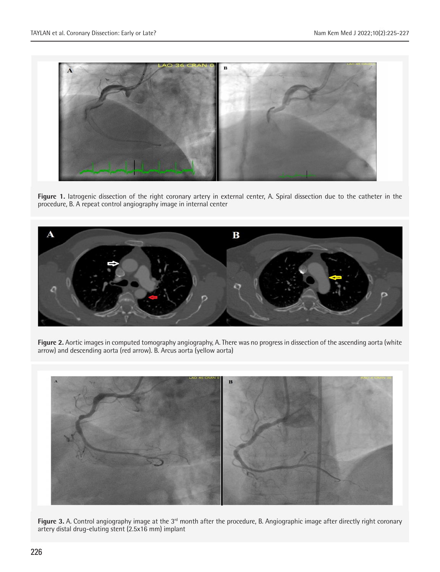

**Figure 1.** Iatrogenic dissection of the right coronary artery in external center, A. Spiral dissection due to the catheter in the procedure, B. A repeat control angiography image in internal center



**Figure 2.** Aortic images in computed tomography angiography, A. There was no progress in dissection of the ascending aorta (white arrow) and descending aorta (red arrow). B. Arcus aorta (yellow aorta)



Figure 3. A. Control angiography image at the 3<sup>rd</sup> month after the procedure, B. Angiographic image after directly right coronary artery distal drug-eluting stent (2.5x16 mm) implant